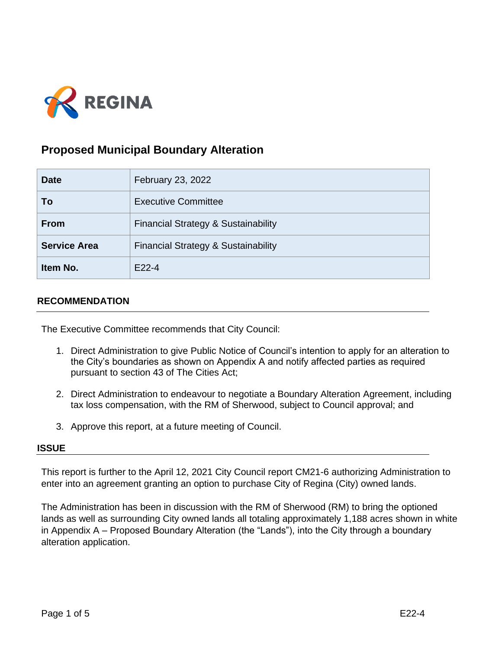

# **Proposed Municipal Boundary Alteration**

| <b>Date</b>         | February 23, 2022                              |
|---------------------|------------------------------------------------|
| To                  | <b>Executive Committee</b>                     |
| <b>From</b>         | <b>Financial Strategy &amp; Sustainability</b> |
| <b>Service Area</b> | <b>Financial Strategy &amp; Sustainability</b> |
| Item No.            | $F22-4$                                        |

## **RECOMMENDATION**

The Executive Committee recommends that City Council:

- 1. Direct Administration to give Public Notice of Council's intention to apply for an alteration to the City's boundaries as shown on Appendix A and notify affected parties as required pursuant to section 43 of The Cities Act;
- 2. Direct Administration to endeavour to negotiate a Boundary Alteration Agreement, including tax loss compensation, with the RM of Sherwood, subject to Council approval; and
- 3. Approve this report, at a future meeting of Council.

#### **ISSUE**

This report is further to the April 12, 2021 City Council report CM21-6 authorizing Administration to enter into an agreement granting an option to purchase City of Regina (City) owned lands.

The Administration has been in discussion with the RM of Sherwood (RM) to bring the optioned lands as well as surrounding City owned lands all totaling approximately 1,188 acres shown in white in Appendix A – Proposed Boundary Alteration (the "Lands"), into the City through a boundary alteration application.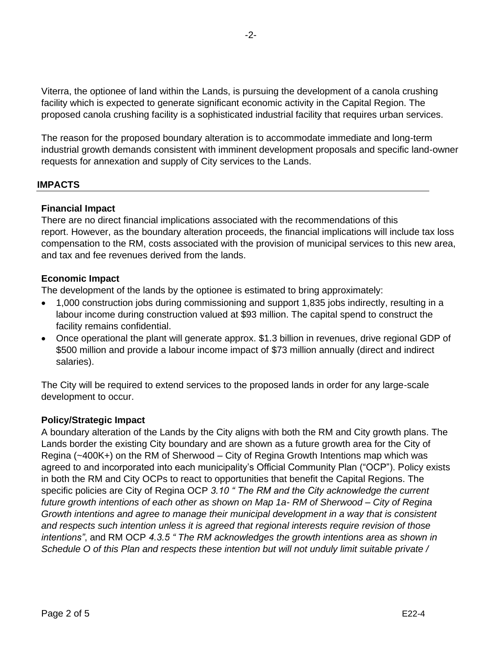Viterra, the optionee of land within the Lands, is pursuing the development of a canola crushing facility which is expected to generate significant economic activity in the Capital Region. The proposed canola crushing facility is a sophisticated industrial facility that requires urban services.

The reason for the proposed boundary alteration is to accommodate immediate and long-term industrial growth demands consistent with imminent development proposals and specific land-owner requests for annexation and supply of City services to the Lands.

# **IMPACTS**

# **Financial Impact**

There are no direct financial implications associated with the recommendations of this report. However, as the boundary alteration proceeds, the financial implications will include tax loss compensation to the RM, costs associated with the provision of municipal services to this new area, and tax and fee revenues derived from the lands.

## **Economic Impact**

The development of the lands by the optionee is estimated to bring approximately:

- 1,000 construction jobs during commissioning and support 1,835 jobs indirectly, resulting in a labour income during construction valued at \$93 million. The capital spend to construct the facility remains confidential.
- Once operational the plant will generate approx. \$1.3 billion in revenues, drive regional GDP of \$500 million and provide a labour income impact of \$73 million annually (direct and indirect salaries).

The City will be required to extend services to the proposed lands in order for any large-scale development to occur.

#### **Policy/Strategic Impact**

A boundary alteration of the Lands by the City aligns with both the RM and City growth plans. The Lands border the existing City boundary and are shown as a future growth area for the City of Regina (~400K+) on the RM of Sherwood – City of Regina Growth Intentions map which was agreed to and incorporated into each municipality's Official Community Plan ("OCP"). Policy exists in both the RM and City OCPs to react to opportunities that benefit the Capital Regions. The specific policies are City of Regina OCP *3.10 " The RM and the City acknowledge the current future growth intentions of each other as shown on Map 1a- RM of Sherwood – City of Regina Growth intentions and agree to manage their municipal development in a way that is consistent and respects such intention unless it is agreed that regional interests require revision of those intentions"*, and RM OCP *4.3.5 " The RM acknowledges the growth intentions area as shown in Schedule O of this Plan and respects these intention but will not unduly limit suitable private /*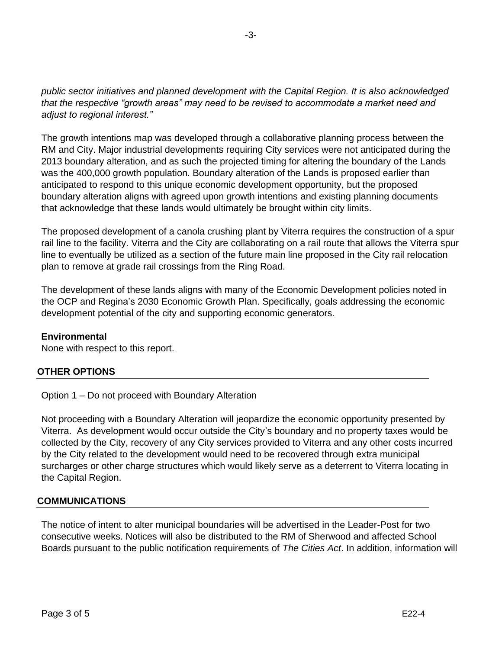*public sector initiatives and planned development with the Capital Region. It is also acknowledged that the respective "growth areas" may need to be revised to accommodate a market need and adjust to regional interest."*

The growth intentions map was developed through a collaborative planning process between the RM and City. Major industrial developments requiring City services were not anticipated during the 2013 boundary alteration, and as such the projected timing for altering the boundary of the Lands was the 400,000 growth population. Boundary alteration of the Lands is proposed earlier than anticipated to respond to this unique economic development opportunity, but the proposed boundary alteration aligns with agreed upon growth intentions and existing planning documents that acknowledge that these lands would ultimately be brought within city limits.

The proposed development of a canola crushing plant by Viterra requires the construction of a spur rail line to the facility. Viterra and the City are collaborating on a rail route that allows the Viterra spur line to eventually be utilized as a section of the future main line proposed in the City rail relocation plan to remove at grade rail crossings from the Ring Road.

The development of these lands aligns with many of the Economic Development policies noted in the OCP and Regina's 2030 Economic Growth Plan. Specifically, goals addressing the economic development potential of the city and supporting economic generators.

# **Environmental**

None with respect to this report.

# **OTHER OPTIONS**

Option 1 – Do not proceed with Boundary Alteration

Not proceeding with a Boundary Alteration will jeopardize the economic opportunity presented by Viterra. As development would occur outside the City's boundary and no property taxes would be collected by the City, recovery of any City services provided to Viterra and any other costs incurred by the City related to the development would need to be recovered through extra municipal surcharges or other charge structures which would likely serve as a deterrent to Viterra locating in the Capital Region.

# **COMMUNICATIONS**

The notice of intent to alter municipal boundaries will be advertised in the Leader-Post for two consecutive weeks. Notices will also be distributed to the RM of Sherwood and affected School Boards pursuant to the public notification requirements of *The Cities Act*. In addition, information will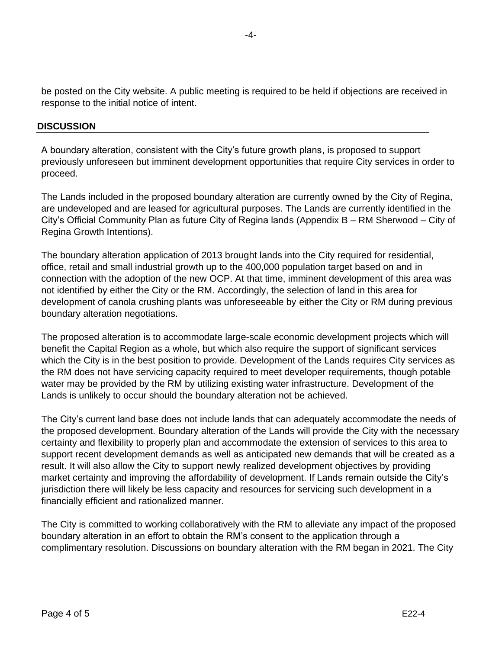be posted on the City website. A public meeting is required to be held if objections are received in response to the initial notice of intent.

## **DISCUSSION**

A boundary alteration, consistent with the City's future growth plans, is proposed to support previously unforeseen but imminent development opportunities that require City services in order to proceed.

The Lands included in the proposed boundary alteration are currently owned by the City of Regina, are undeveloped and are leased for agricultural purposes. The Lands are currently identified in the City's Official Community Plan as future City of Regina lands (Appendix B – RM Sherwood – City of Regina Growth Intentions).

The boundary alteration application of 2013 brought lands into the City required for residential, office, retail and small industrial growth up to the 400,000 population target based on and in connection with the adoption of the new OCP. At that time, imminent development of this area was not identified by either the City or the RM. Accordingly, the selection of land in this area for development of canola crushing plants was unforeseeable by either the City or RM during previous boundary alteration negotiations.

The proposed alteration is to accommodate large-scale economic development projects which will benefit the Capital Region as a whole, but which also require the support of significant services which the City is in the best position to provide. Development of the Lands requires City services as the RM does not have servicing capacity required to meet developer requirements, though potable water may be provided by the RM by utilizing existing water infrastructure. Development of the Lands is unlikely to occur should the boundary alteration not be achieved.

The City's current land base does not include lands that can adequately accommodate the needs of the proposed development. Boundary alteration of the Lands will provide the City with the necessary certainty and flexibility to properly plan and accommodate the extension of services to this area to support recent development demands as well as anticipated new demands that will be created as a result. It will also allow the City to support newly realized development objectives by providing market certainty and improving the affordability of development. If Lands remain outside the City's jurisdiction there will likely be less capacity and resources for servicing such development in a financially efficient and rationalized manner.

The City is committed to working collaboratively with the RM to alleviate any impact of the proposed boundary alteration in an effort to obtain the RM's consent to the application through a complimentary resolution. Discussions on boundary alteration with the RM began in 2021. The City